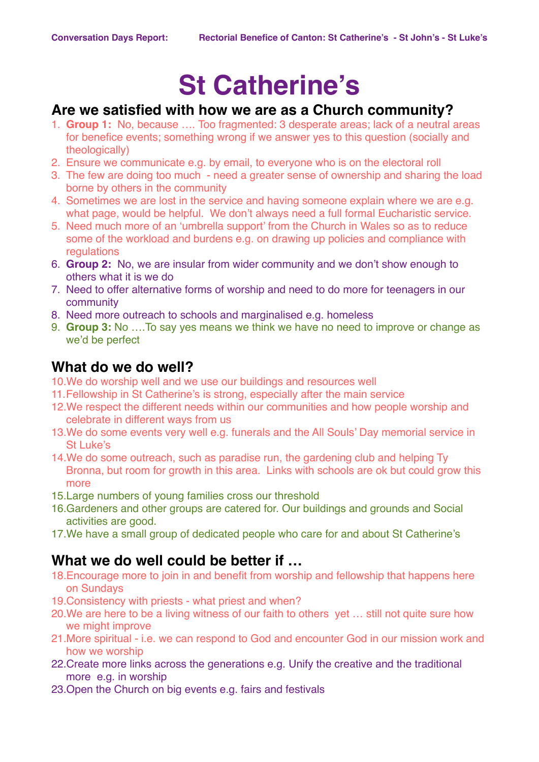# **St Catherine's**

#### **Are we satisfied with how we are as a Church community?**

- 1. **Group 1:** No, because …. Too fragmented: 3 desperate areas; lack of a neutral areas for benefice events; something wrong if we answer yes to this question (socially and theologically)
- 2. Ensure we communicate e.g. by email, to everyone who is on the electoral roll
- 3. The few are doing too much need a greater sense of ownership and sharing the load borne by others in the community
- 4. Sometimes we are lost in the service and having someone explain where we are e.g. what page, would be helpful. We don't always need a full formal Eucharistic service.
- 5. Need much more of an 'umbrella support' from the Church in Wales so as to reduce some of the workload and burdens e.g. on drawing up policies and compliance with regulations
- 6. **Group 2:** No, we are insular from wider community and we don't show enough to others what it is we do
- 7. Need to offer alternative forms of worship and need to do more for teenagers in our community
- 8. Need more outreach to schools and marginalised e.g. homeless
- 9. **Group 3:** No ….To say yes means we think we have no need to improve or change as we'd be perfect

#### **What do we do well?**

- 10.We do worship well and we use our buildings and resources well
- 11.Fellowship in St Catherine's is strong, especially after the main service
- 12.We respect the different needs within our communities and how people worship and celebrate in different ways from us
- 13.We do some events very well e.g. funerals and the All Souls' Day memorial service in St Luke's
- 14.We do some outreach, such as paradise run, the gardening club and helping Ty Bronna, but room for growth in this area. Links with schools are ok but could grow this more
- 15.Large numbers of young families cross our threshold
- 16.Gardeners and other groups are catered for. Our buildings and grounds and Social activities are good.
- 17.We have a small group of dedicated people who care for and about St Catherine's

## **What we do well could be better if …**

- 18.Encourage more to join in and benefit from worship and fellowship that happens here on Sundays
- 19.Consistency with priests what priest and when?
- 20.We are here to be a living witness of our faith to others yet … still not quite sure how we might improve
- 21.More spiritual i.e. we can respond to God and encounter God in our mission work and how we worship
- 22.Create more links across the generations e.g. Unify the creative and the traditional more e.g. in worship
- 23.Open the Church on big events e.g. fairs and festivals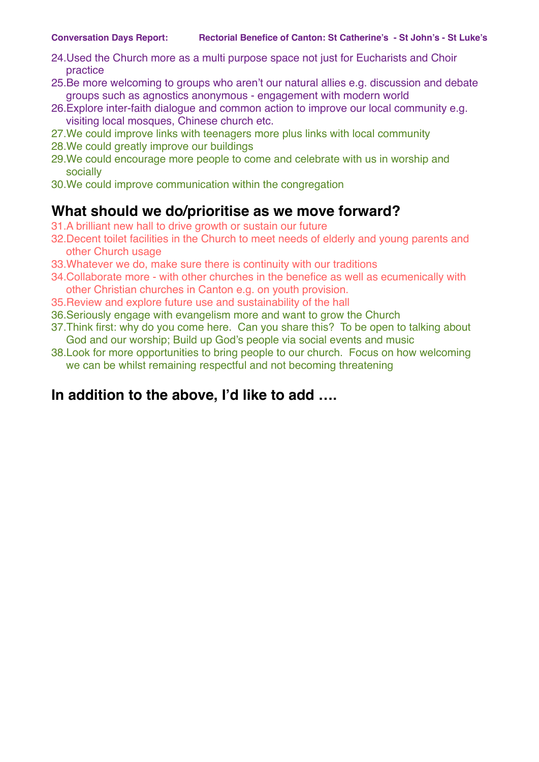- 24.Used the Church more as a multi purpose space not just for Eucharists and Choir practice
- 25.Be more welcoming to groups who aren't our natural allies e.g. discussion and debate groups such as agnostics anonymous - engagement with modern world
- 26.Explore inter-faith dialogue and common action to improve our local community e.g. visiting local mosques, Chinese church etc.
- 27.We could improve links with teenagers more plus links with local community
- 28.We could greatly improve our buildings
- 29.We could encourage more people to come and celebrate with us in worship and socially
- 30.We could improve communication within the congregation

#### **What should we do/prioritise as we move forward?**

- 31.A brilliant new hall to drive growth or sustain our future
- 32.Decent toilet facilities in the Church to meet needs of elderly and young parents and other Church usage
- 33.Whatever we do, make sure there is continuity with our traditions
- 34.Collaborate more with other churches in the benefice as well as ecumenically with other Christian churches in Canton e.g. on youth provision.
- 35.Review and explore future use and sustainability of the hall
- 36.Seriously engage with evangelism more and want to grow the Church
- 37.Think first: why do you come here. Can you share this? To be open to talking about God and our worship; Build up God's people via social events and music
- 38.Look for more opportunities to bring people to our church. Focus on how welcoming we can be whilst remaining respectful and not becoming threatening

#### **In addition to the above, I'd like to add ….**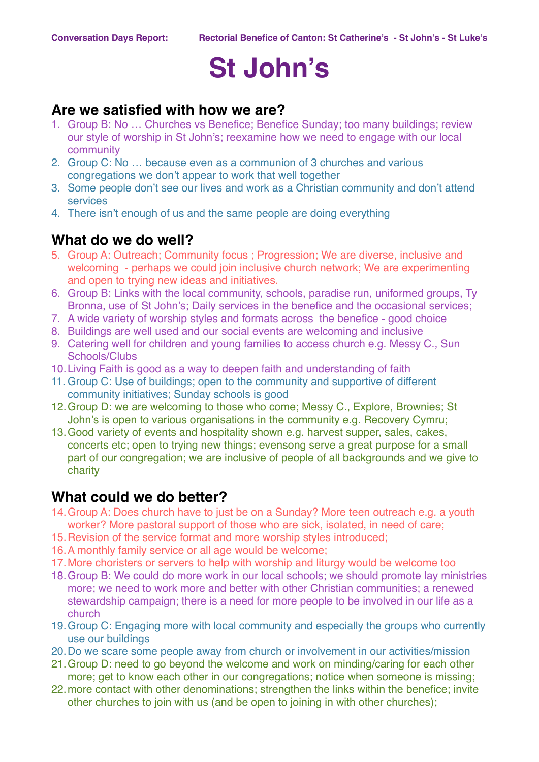# **St John's**

#### **Are we satisfied with how we are?**

- 1. Group B: No … Churches vs Benefice; Benefice Sunday; too many buildings; review our style of worship in St John's; reexamine how we need to engage with our local community
- 2. Group C: No … because even as a communion of 3 churches and various congregations we don't appear to work that well together
- 3. Some people don't see our lives and work as a Christian community and don't attend services
- 4. There isn't enough of us and the same people are doing everything

#### **What do we do well?**

- 5. Group A: Outreach; Community focus ; Progression; We are diverse, inclusive and welcoming - perhaps we could join inclusive church network; We are experimenting and open to trying new ideas and initiatives.
- 6. Group B: Links with the local community, schools, paradise run, uniformed groups, Ty Bronna, use of St John's; Daily services in the benefice and the occasional services;
- 7. A wide variety of worship styles and formats across the benefice good choice
- 8. Buildings are well used and our social events are welcoming and inclusive
- 9. Catering well for children and young families to access church e.g. Messy C., Sun Schools/Clubs
- 10.Living Faith is good as a way to deepen faith and understanding of faith
- 11. Group C: Use of buildings; open to the community and supportive of different community initiatives; Sunday schools is good
- 12.Group D: we are welcoming to those who come; Messy C., Explore, Brownies; St John's is open to various organisations in the community e.g. Recovery Cymru;
- 13.Good variety of events and hospitality shown e.g. harvest supper, sales, cakes, concerts etc; open to trying new things; evensong serve a great purpose for a small part of our congregation; we are inclusive of people of all backgrounds and we give to charity

#### **What could we do better?**

- 14.Group A: Does church have to just be on a Sunday? More teen outreach e.g. a youth worker? More pastoral support of those who are sick, isolated, in need of care;
- 15.Revision of the service format and more worship styles introduced;
- 16.A monthly family service or all age would be welcome;
- 17.More choristers or servers to help with worship and liturgy would be welcome too
- 18.Group B: We could do more work in our local schools; we should promote lay ministries more; we need to work more and better with other Christian communities; a renewed stewardship campaign; there is a need for more people to be involved in our life as a church
- 19.Group C: Engaging more with local community and especially the groups who currently use our buildings
- 20.Do we scare some people away from church or involvement in our activities/mission
- 21.Group D: need to go beyond the welcome and work on minding/caring for each other more; get to know each other in our congregations; notice when someone is missing;
- 22.more contact with other denominations; strengthen the links within the benefice; invite other churches to join with us (and be open to joining in with other churches);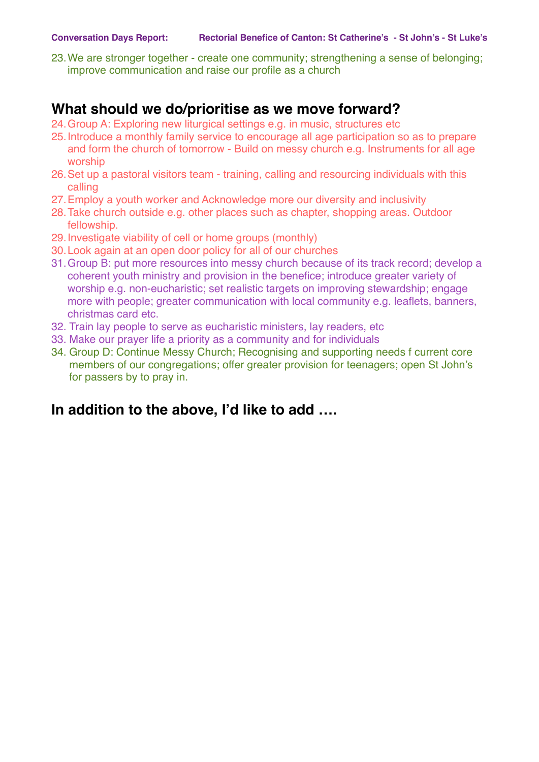23.We are stronger together - create one community; strengthening a sense of belonging; improve communication and raise our profile as a church

#### **What should we do/prioritise as we move forward?**

- 24.Group A: Exploring new liturgical settings e.g. in music, structures etc
- 25.Introduce a monthly family service to encourage all age participation so as to prepare and form the church of tomorrow - Build on messy church e.g. Instruments for all age worship
- 26.Set up a pastoral visitors team training, calling and resourcing individuals with this calling
- 27.Employ a youth worker and Acknowledge more our diversity and inclusivity
- 28.Take church outside e.g. other places such as chapter, shopping areas. Outdoor fellowship.
- 29.Investigate viability of cell or home groups (monthly)
- 30.Look again at an open door policy for all of our churches
- 31.Group B: put more resources into messy church because of its track record; develop a coherent youth ministry and provision in the benefice; introduce greater variety of worship e.g. non-eucharistic; set realistic targets on improving stewardship; engage more with people; greater communication with local community e.g. leaflets, banners, christmas card etc.
- 32. Train lay people to serve as eucharistic ministers, lay readers, etc
- 33. Make our prayer life a priority as a community and for individuals
- 34. Group D: Continue Messy Church; Recognising and supporting needs f current core members of our congregations; offer greater provision for teenagers; open St John's for passers by to pray in.

## **In addition to the above, I'd like to add ….**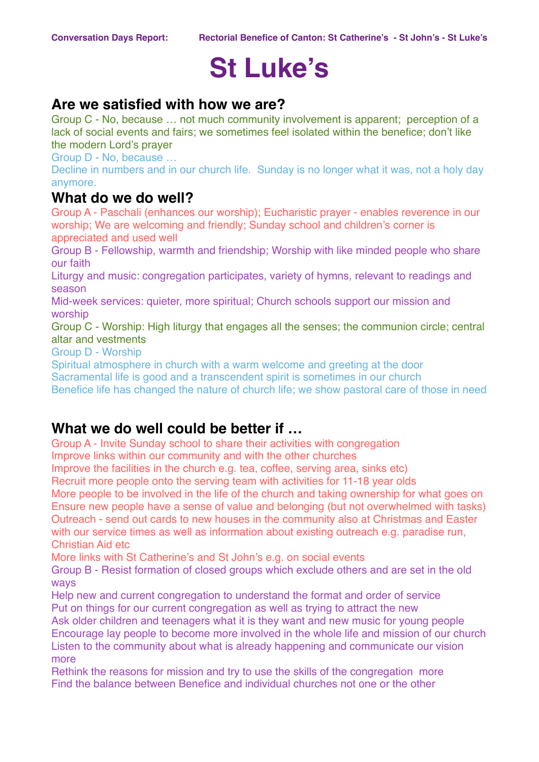# **St Luke's**

#### **Are we satisfied with how we are?**

Group C - No, because … not much community involvement is apparent; perception of a lack of social events and fairs; we sometimes feel isolated within the benefice; don't like the modern Lord's prayer

Group D - No, because …

Decline in numbers and in our church life. Sunday is no longer what it was, not a holy day anymore.

#### **What do we do well?**

Group A - Paschali (enhances our worship); Eucharistic prayer - enables reverence in our worship; We are welcoming and friendly; Sunday school and children's corner is appreciated and used well

Group B - Fellowship, warmth and friendship; Worship with like minded people who share our faith

Liturgy and music: congregation participates, variety of hymns, relevant to readings and season

Mid-week services: quieter, more spiritual; Church schools support our mission and worship

Group C - Worship: High liturgy that engages all the senses; the communion circle; central altar and vestments

Group D - Worship

Spiritual atmosphere in church with a warm welcome and greeting at the door Sacramental life is good and a transcendent spirit is sometimes in our church Benefice life has changed the nature of church life; we show pastoral care of those in need

#### **What we do well could be better if …**

Group A - Invite Sunday school to share their activities with congregation Improve links within our community and with the other churches

Improve the facilities in the church e.g. tea, coffee, serving area, sinks etc)

Recruit more people onto the serving team with activities for 11-18 year olds

More people to be involved in the life of the church and taking ownership for what goes on Ensure new people have a sense of value and belonging (but not overwhelmed with tasks) Outreach - send out cards to new houses in the community also at Christmas and Easter with our service times as well as information about existing outreach e.g. paradise run, Christian Aid etc.

More links with St Catherine's and St John's e.g. on social events

Group B - Resist formation of closed groups which exclude others and are set in the old ways

Help new and current congregation to understand the format and order of service Put on things for our current congregation as well as trying to attract the new

Ask older children and teenagers what it is they want and new music for young people Encourage lay people to become more involved in the whole life and mission of our church Listen to the community about what is already happening and communicate our vision more

Rethink the reasons for mission and try to use the skills of the congregation more Find the balance between Benefice and individual churches not one or the other